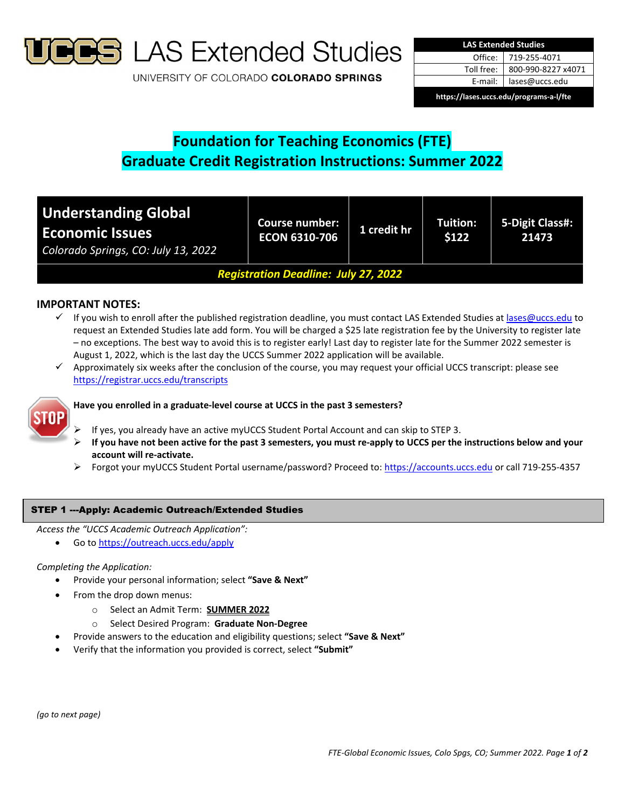

**S** LAS Extended Studies

UNIVERSITY OF COLORADO COLORADO SPRINGS

| <b>LAS Extended Studies</b>             |                    |  |  |  |
|-----------------------------------------|--------------------|--|--|--|
| Office:                                 | 719-255-4071       |  |  |  |
| Toll free:                              | 800-990-8227 x4071 |  |  |  |
| E-mail:                                 | lases@uccs.edu     |  |  |  |
| https://lases.uccs.edu/programs-a-l/fte |                    |  |  |  |

# **Foundation for Teaching Economics (FTE) Graduate Credit Registration Instructions: Summer 2022**

| <b>Understanding Global</b><br><b>Economic Issues</b><br>Colorado Springs, CO: July 13, 2022 | <b>Course number:</b><br><b>ECON 6310-706</b> | 1 credit hr | Tuition:<br>\$122 | 5-Digit Class#:<br>21473 |
|----------------------------------------------------------------------------------------------|-----------------------------------------------|-------------|-------------------|--------------------------|
| <b>Registration Deadline: July 27, 2022</b>                                                  |                                               |             |                   |                          |

# **IMPORTANT NOTES:**

- $\checkmark$  If you wish to enroll after the published registration deadline, you must contact LAS Extended Studies at lases@uccs.edu to request an Extended Studies late add form. You will be charged a \$25 late registration fee by the University to register late – no exceptions. The best way to avoid this is to register early! Last day to register late for the Summer 2022 semester is August 1, 2022, which is the last day the UCCS Summer 2022 application will be available.
- $\checkmark$  Approximately six weeks after the conclusion of the course, you may request your official UCCS transcript: please see https://registrar.uccs.edu/transcripts



## **Have you enrolled in a graduate‐level course at UCCS in the past 3 semesters?**

- If yes, you already have an active myUCCS Student Portal Account and can skip to STEP 3.
- If you have not been active for the past 3 semesters, you must re-apply to UCCS per the instructions below and your **account will re‐activate.**
- Forgot your myUCCS Student Portal username/password? Proceed to: https://accounts.uccs.edu or call 719‐255‐4357

## STEP 1 ---Apply: Academic Outreach/Extended Studies

*Access the "UCCS Academic Outreach Application":*

Go to https://outreach.uccs.edu/apply

### *Completing the Application:*

- Provide your personal information; select **"Save & Next"**
- From the drop down menus:
	- o Select an Admit Term: **SUMMER 2022**
	- o Select Desired Program: **Graduate Non‐Degree**
	- Provide answers to the education and eligibility questions; select **"Save & Next"**
- Verify that the information you provided is correct, select **"Submit"**

*(go to next page)*